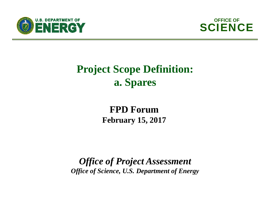



## **Project Scope Definition: a. Spares**

## **FPD Forum February 15, 2017**

*Office of Project Assessment Office of Science, U.S. Department of Energy*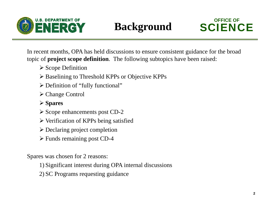



In recent months, OPA has held discussions to ensure consistent guidance for the broad topic of **project scope definition**. The following subtopics have been raised:

- Scope Definition
- Baselining to Threshold KPPs or Objective KPPs
- Definition of "fully functional"
- Change Control
- **Spares**
- Scope enhancements post CD-2
- Verification of KPPs being satisfied
- Declaring project completion
- Funds remaining post CD-4

Spares was chosen for 2 reasons:

- 1) Significant interest during OPA internal discussions
- 2) SC Programs requesting guidance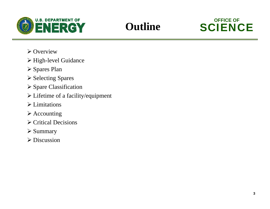

## **Outline**



- $\triangleright$  Overview
- > High-level Guidance
- **≻ Spares Plan**
- **≻ Selecting Spares**
- Spare Classification
- Lifetime of a facility/equipment
- Limitations
- $\triangleright$  Accounting
- $\triangleright$  Critical Decisions
- $\triangleright$  Summary
- Discussion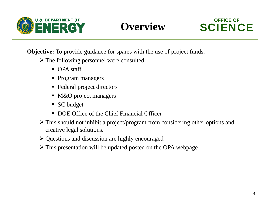



**Objective:** To provide guidance for spares with the use of project funds.

- The following personnel were consulted:
	- OPA staff
	- Program managers
	- Federal project directors
	- M&O project managers
	- SC budget
	- **DOE Office of the Chief Financial Officer**
- This should not inhibit a project/program from considering other options and creative legal solutions.
- Questions and discussion are highly encouraged
- This presentation will be updated posted on the OPA webpage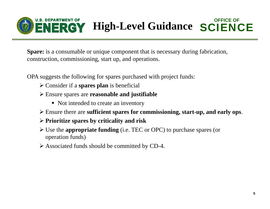

**Spare:** is a consumable or unique component that is necessary during fabrication, construction, commissioning, start up, and operations.

OPA suggests the following for spares purchased with project funds:

- Consider if a **spares plan** is beneficial
- Ensure spares are **reasonable and justifiable**
	- Not intended to create an inventory
- Ensure there are **sufficient spares for commissioning, start-up, and early ops**.
- **Prioritize spares by criticality and risk**
- Use the **appropriate funding** (i.e. TEC or OPC) to purchase spares (or operation funds)
- Associated funds should be committed by CD-4.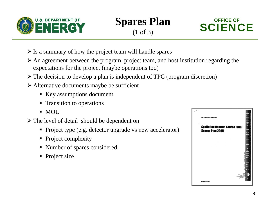

**Spares Plan** (1 of 3)



- $\triangleright$  Is a summary of how the project team will handle spares
- An agreement between the program, project team, and host institution regarding the expectations for the project (maybe operations too)
- $\triangleright$  The decision to develop a plan is independent of TPC (program discretion)
- Alternative documents maybe be sufficient
	- Key assumptions document
	- **Transition to operations**
	- $\blacksquare$  MOU
- The level of detail should be dependent on
	- **Project type (e.g. detector upgrade vs new accelerator)**
	- Project complexity
	- Number of spares considered
	- Project size

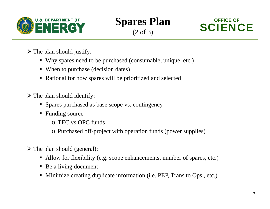

**Spares Plan** (2 of 3)



- $\triangleright$  The plan should justify:
	- Why spares need to be purchased (consumable, unique, etc.)
	- When to purchase (decision dates)
	- Rational for how spares will be prioritized and selected

 $\triangleright$  The plan should identify:

- **Spares purchased as base scope vs. contingency**
- **Funding source** 
	- o TEC vs OPC funds
	- o Purchased off-project with operation funds (power supplies)
- $\triangleright$  The plan should (general):
	- Allow for flexibility (e.g. scope enhancements, number of spares, etc.)
	- Be a living document
	- Minimize creating duplicate information (i.e. PEP, Trans to Ops., etc.)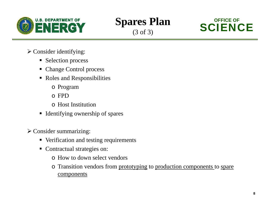





- Consider identifying:
	- Selection process
	- Change Control process
	- Roles and Responsibilities
		- o Program
		- o FPD
		- o Host Institution
	- **I** Identifying ownership of spares
- $\triangleright$  Consider summarizing:
	- Verification and testing requirements
	- Contractual strategies on:
		- o How to down select vendors
		- o Transition vendors from prototyping to production components to spare components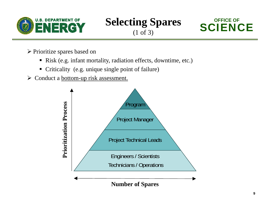





Prioritize spares based on

- Risk (e.g. infant mortality, radiation effects, downtime, etc.)
- Criticality (e.g. unique single point of failure)
- ► Conduct a <u>bottom-up risk assessment.</u>

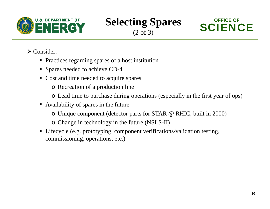





Consider:

- **Practices regarding spares of a host institution**
- Spares needed to achieve CD-4
- Cost and time needed to acquire spares
	- o Recreation of a production line
	- o Lead time to purchase during operations (especially in the first year of ops)
- Availability of spares in the future
	- o Unique component (detector parts for STAR @ RHIC, built in 2000)
	- o Change in technology in the future (NSLS-II)
- Lifecycle (e.g. prototyping, component verifications/validation testing, commissioning, operations, etc.)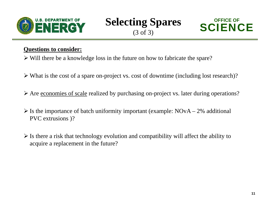





### **Questions to consider:**

- Will there be a knowledge loss in the future on how to fabricate the spare?
- What is the cost of a spare on-project vs. cost of downtime (including lost research)?
- Are economies of scale realized by purchasing on-project vs. later during operations?
- $\triangleright$  Is the importance of batch uniformity important (example: NOvA 2% additional PVC extrusions )?
- $\triangleright$  Is there a risk that technology evolution and compatibility will affect the ability to acquire a replacement in the future?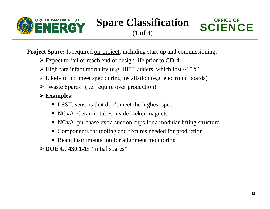



**Project Spare:** Is required <u>on-project</u>, including start-up and commissioning.

- Expect to fail or reach end of design life prior to CD-4
- $\triangleright$  High rate infant mortality (e.g. HFT ladders, which lost ~10%)
- Likely to not meet spec during installation (e.g. electronic boards)
- "Waste Spares" (i.e. require over production)

## **Examples:**

- LSST: sensors that don't meet the highest spec.
- NOvA: Ceramic tubes inside kicker magnets
- NOvA: purchase extra suction cups for a modular lifting structure
- Components for tooling and fixtures needed for production
- Beam instrumentation for alignment monitoring
- **DOE G. 430.1-1:** "initial spares"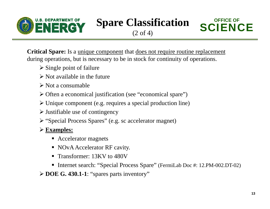

**Spare Classification** 



**Critical Spare:** Is a unique component that does not require routine replacement during operations, but is necessary to be in stock for continuity of operations.

- $\triangleright$  Single point of failure
- $\triangleright$  Not available in the future
- $\triangleright$  Not a consumable
- Often a economical justification (see "economical spare")
- Unique component (e.g. requires a special production line)
- $\triangleright$  Justifiable use of contingency
- "Special Process Spares" (e.g. sc accelerator magnet)

## **Examples:**

- Accelerator magnets
- NOvA Accelerator RF cavity.
- **Transformer: 13KV to 480V**
- Internet search: "Special Process Spare" (FermiLab Doc #: 12.PM-002.DT-02)

**DOE G. 430.1-1**: "spares parts inventory"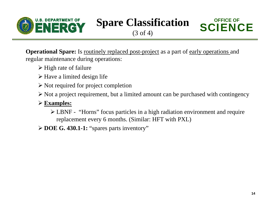

**Spare Classification** 



**Operational Spare:** Is <u>routinely replaced post-project</u> as a part of early operations and regular maintenance during operations:

- $\triangleright$  High rate of failure
- $\triangleright$  Have a limited design life
- $\triangleright$  Not required for project completion
- $\triangleright$  Not a project requirement, but a limited amount can be purchased with contingency

## **Examples:**

 LBNF - "Horns" focus particles in a high radiation environment and require replacement every 6 months. (Similar: HFT with PXL)

**DOE G. 430.1-1:** "spares parts inventory"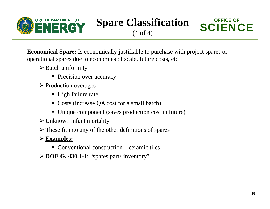

**Spare Classification** 



**Economical Spare:** Is economically justifiable to purchase with project spares or operational spares due to economies of scale, future costs, etc.

- **▶ Batch uniformity** 
	- **Precision over accuracy**
- **► Production overages** 
	- High failure rate
	- Costs (increase QA cost for a small batch)
	- Unique component (saves production cost in future)
- Unknown infant mortality
- $\triangleright$  These fit into any of the other definitions of spares
- **Examples:**
	- Conventional construction ceramic tiles
- **DOE G. 430.1-1**: "spares parts inventory"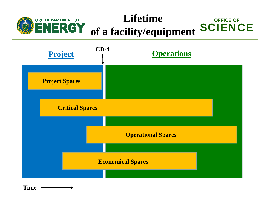#### **LifetimeU.S. DEPARTMENT OF OFFICE OFSCIENCE of a facility/equipment**



**Time**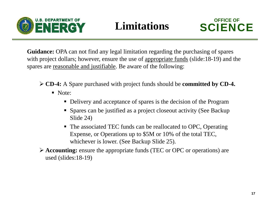



**Guidance:** OPA can not find any legal limitation regarding the purchasing of spares with project dollars; however, ensure the use of appropriate funds (slide:18-19) and the spares are reasonable and justifiable. Be aware of the following:

- **CD-4:** A Spare purchased with project funds should be **committed by CD-4.** 
	- Note:
		- Delivery and acceptance of spares is the decision of the Program
		- Spares can be justified as a project closeout activity (See Backup Slide 24)
		- The associated TEC funds can be reallocated to OPC, Operating Expense, or Operations up to \$5M or 10% of the total TEC, whichever is lower. (See Backup Slide 25).

 **Accounting:** ensure the appropriate funds (TEC or OPC or operations) are used (slides:18-19)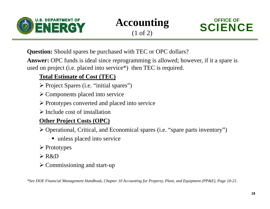





**Question:** Should spares be purchased with TEC or OPC dollars?

**Answer:** OPC funds is ideal since reprogramming is allowed; however, if it a spare is used on project (i.e. placed into service\*) then TEC is required.

## **Total Estimate of Cost (TEC)**

- Project Spares (i.e. "initial spares")
- Components placed into service
- Prototypes converted and placed into service
- $\triangleright$  Include cost of installation

### **Other Project Costs (OPC)**

Operational, Critical, and Economical spares (i.e. "spare parts inventory")

- unless placed into service
- **≻** Prototypes
- R&D
- Commissioning and start-up

*\*See DOE Financial Management Handbook, Chapter 10 Accounting for Property, Plant, and Equipment (PP&E), Page 10-21.*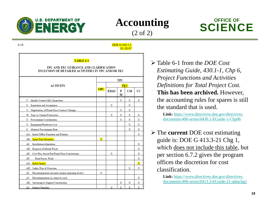



(2 of 2)





 $6 - 10$ 

**DOE G 430.1-1**  $03 - 28 - 97$ 

#### TABLE 6-1

#### TPC AND TEC GUIDANCE AND CLARIFICATION INCLUSION OF DETAILED ACTIVITIES IN TPC AND/OR TEC

| <b>ACTIVITY</b>                                          |                         | <b>TPC</b> |        |    |                         |  |
|----------------------------------------------------------|-------------------------|------------|--------|----|-------------------------|--|
|                                                          |                         | <b>TEC</b> |        |    |                         |  |
|                                                          | OPC                     | ED&I       | P<br>м | CМ | $_{\rm CC}$             |  |
| Quality Control (QC) Inspection<br>T.                    |                         |            | х      | х  | X                       |  |
| U. Inspection and Acceptance                             |                         | х          |        | х  |                         |  |
| V. Negotiations of Fixed Price Contract Changes          |                         |            | х      | х  |                         |  |
| W. Trips to Vendor/Fabricators                           |                         | Х          | X      | Х  | x                       |  |
| X. Procurement Coordination                              |                         |            | X      | Х  | х                       |  |
| Y. Equipment/Hardware Cost                               |                         |            |        | х  | х                       |  |
| Z. Material Procurement Rate                             |                         |            |        | х  | х                       |  |
| AA. Initial Office Furniture and Fixtures                |                         |            |        |    | х                       |  |
| AB. Spare Parts Inventory                                | $\overline{\mathbf{x}}$ |            |        |    |                         |  |
| AC. Installation/Alterations                             |                         |            |        |    | X                       |  |
| AD. Disposal of Mixed Waste                              |                         |            |        |    | х                       |  |
| Cost Plus Award Fee/Fixed Price Construction<br>AE.      |                         | х          |        |    | х                       |  |
| <b>Plant Forces Work</b><br>AF.                          |                         |            |        |    | х                       |  |
| AG. Initial Spares                                       |                         |            |        |    | $\overline{\mathbf{x}}$ |  |
| Safety Plan & Overview<br>AH.                            |                         |            |        | х  | х                       |  |
| AI.<br>Decontamination (exceeds normal operating levels) | x                       |            |        |    |                         |  |
| Decontamination (as removal cost)<br>AJ.                 |                         |            |        |    | x                       |  |
| AK. Surveying to Support Construction                    |                         |            | х      | х  | X                       |  |
| AL. Interest Penalties                                   |                         | x          | x      | х  | х                       |  |

 Table 6-1 from the *DOE Cost Estimating Guide, 430.1-1, Chp 6, Project Functions and Activities Definitions for Total Project Cost.*  **This has been archived.** However, the accounting rules for spares is still the standard that is used.

> **Link:** https://www.directives.doe.gov/directivesdocuments/400-series/0430.1-EGuide-1-Chp06

 The **current** DOE cost estimating guide is: DOE G 413.3-21 Chg 1, which does not include this table, but per section 6.7.2 gives the program offices the discretion for cost classification.

> **Link:** https://www.directives.doe.gov/directivesdocuments/400-series/0413.3-EGuide-21-admchg1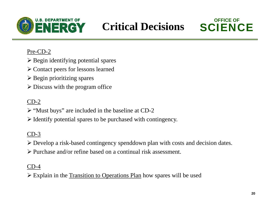

## **Critical Decisions**



### Pre-CD-2

- $\triangleright$  Begin identifying potential spares
- Contact peers for lessons learned
- $\triangleright$  Begin prioritizing spares
- $\triangleright$  Discuss with the program office

## $CD-2$

- $\triangleright$  "Must buys" are included in the baseline at CD-2
- $\triangleright$  Identify potential spares to be purchased with contingency.

## CD-3

Develop a risk-based contingency spenddown plan with costs and decision dates.

Purchase and/or refine based on a continual risk assessment.

### CD-4

Explain in the Transition to Operations Plan how spares will be used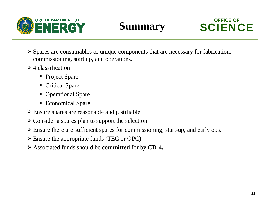



- Spares are consumables or unique components that are necessary for fabrication, commissioning, start up, and operations.
- $\geq 4$  classification
	- Project Spare
	- **Critical Spare**
	- Operational Spare
	- Economical Spare
- Ensure spares are reasonable and justifiable
- Consider a spares plan to support the selection
- Ensure there are sufficient spares for commissioning, start-up, and early ops.
- Ensure the appropriate funds (TEC or OPC)
- Associated funds should be **committed** for by **CD-4.**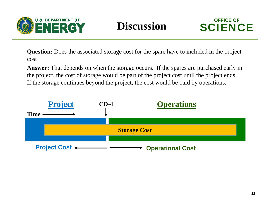



**Question:** Does the associated storage cost for the spare have to included in the project cost

**Answer:** That depends on when the storage occurs. If the spares are purchased early in the project, the cost of storage would be part of the project cost until the project ends. If the storage continues beyond the project, the cost would be paid by operations.

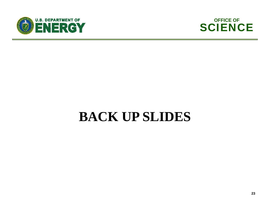



# **BACK UP SLIDES**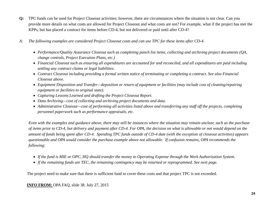- **Q:** TPC funds can be used for Project Closeout activities; however, there are circumstances where the situation is not clear. Can you provide more details on what costs are allowed for Project Closeout and what costs are not? For example, what if the project has met the KPPs, but has placed a contract for items before CD-4, but not delivered or paid until after CD-4?
- *A: The following examples are considered Project Closeout costs and can use TPC for these items after CD-4.*
	- *Performance/Quality Assurance Closeout such as completing punch list items, collecting and archiving project documents (QA, change controls, Project Execution Plans, etc.)*
	- *Financial Closeout such as ensuring all expenditures are accounted for and reconciled, and all expenditures are paid including settling any contract claims or legal liabilities.*
	- *Contract Closeout including providing a formal written notice of terminating or completing a contract. See also Financial Closeout above.*
	- *Equipment Disposition and Transfer—deposition or return of equipment or facilities (may include cost of cleaning/repairing equipment or facilities to original state).*
	- *Capturing Lessons Learned and drafting the Project Closeout Report.*
	- *Data Archiving—cost of collecting and archiving project documents and data.*
	- *Administrative Closeout—cost of performing all activities listed above and transferring any staff off the projects, completing personnel paperwork such as performance appraisals, etc.*

*Even with the examples and guidance above, there may still be instances where the situation may remain unclear, such as the purchase of items prior to CD-4, but delivery and payment after CD-4. For OPA, the decision on what is allowable or not would depend on the amount of funds being spent after CD-4. Spending TPC funds outside of CD-4 date (with the exception of closeout activities) appears questionable and OPA would consider the purchase example above not allowable. If confusion remains, OPA recommends the following:* 

- *If the fund is MIE or OPC, HQ should transfer the money to Operating Expense through the Work Authorization System.*
- *If the remaining funds are TEC, the remaining contingency may be returned or reprogrammed. See next page.*

The project need to make sure that there is sufficient fund to cover these costs and that project TPC is not exceeded.

#### **INFO FROM:** OPA FAQ, slide 38. July 27, 2015